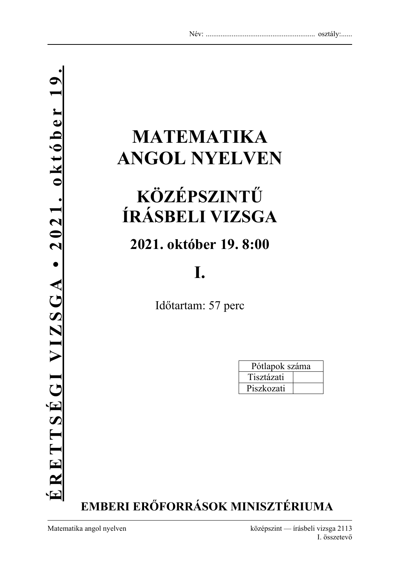# **MATEMATIKA ANGOL NYELVEN**

# **KÖZÉPSZINTŰ ÍRÁSBELI VIZSGA**

### **2021. október 19. 8:00**

## **I.**

Időtartam: 57 perc

| Pótlapok száma |  |
|----------------|--|
| Tisztázati     |  |
| Piszkozati     |  |

**EMBERI ERŐFORRÁSOK MINISZTÉRIUMA**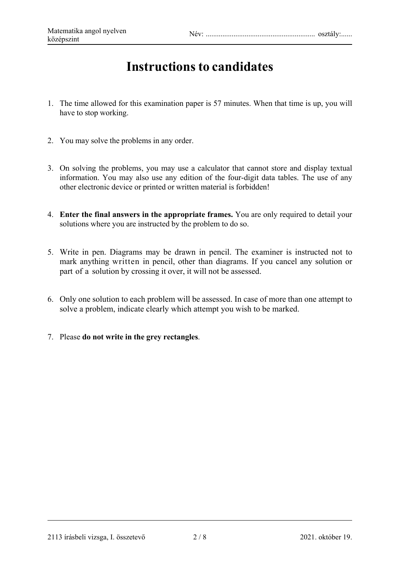### **Instructions to candidates**

- 1. The time allowed for this examination paper is 57 minutes. When that time is up, you will have to stop working.
- 2. You may solve the problems in any order.
- 3. On solving the problems, you may use a calculator that cannot store and display textual information. You may also use any edition of the four-digit data tables. The use of any other electronic device or printed or written material is forbidden!
- 4. **Enter the final answers in the appropriate frames.** You are only required to detail your solutions where you are instructed by the problem to do so.
- 5. Write in pen. Diagrams may be drawn in pencil. The examiner is instructed not to mark anything written in pencil, other than diagrams. If you cancel any solution or part of a solution by crossing it over, it will not be assessed.
- 6. Only one solution to each problem will be assessed. In case of more than one attempt to solve a problem, indicate clearly which attempt you wish to be marked.
- 7. Please **do not write in the grey rectangles**.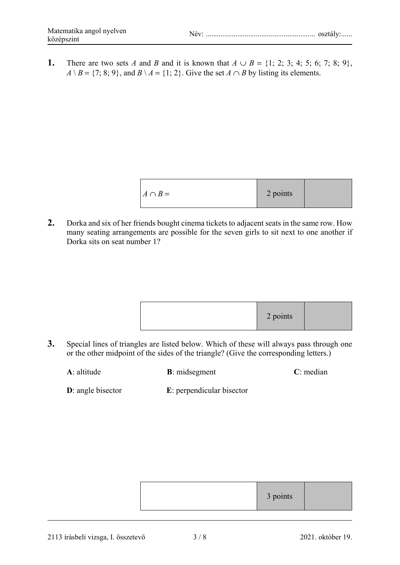**1.** There are two sets *A* and *B* and it is known that  $A \cup B = \{1, 2, 3, 4, 5, 6, 7, 8, 9\}$ ,  $A \setminus B = \{7; 8; 9\}$ , and  $B \setminus A = \{1; 2\}$ . Give the set  $A \cap B$  by listing its elements.

| $A \cap B =$ | 2 points |  |
|--------------|----------|--|
|--------------|----------|--|

**2.** Dorka and six of her friends bought cinema tickets to adjacent seats in the same row. How many seating arrangements are possible for the seven girls to sit next to one another if Dorka sits on seat number 1?

| 2 points |  |
|----------|--|
|          |  |

**3.** Special lines of triangles are listed below. Which of these will always pass through one or the other midpoint of the sides of the triangle? (Give the corresponding letters.)

| A: altitude               | <b>B</b> : midsegment     | C: median |
|---------------------------|---------------------------|-----------|
| <b>D</b> : angle bisector | E: perpendicular bisector |           |

|  | 3 points |
|--|----------|
|--|----------|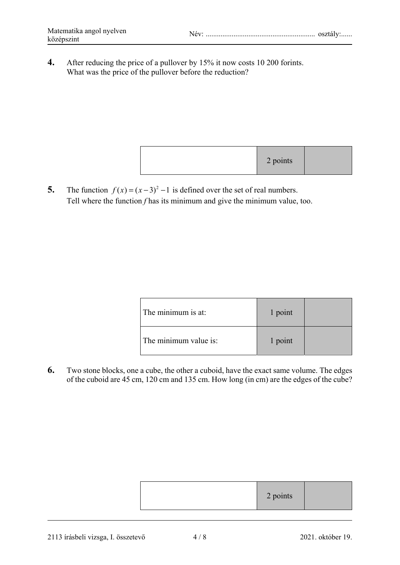**4.** After reducing the price of a pullover by 15% it now costs 10 200 forints. What was the price of the pullover before the reduction?

**5.** The function  $f(x) = (x-3)^2 - 1$  is defined over the set of real numbers. Tell where the function *f* has its minimum and give the minimum value, too.

| The minimum is at:    | 1 point |  |
|-----------------------|---------|--|
| The minimum value is: | 1 point |  |

**6.** Two stone blocks, one a cube, the other a cuboid, have the exact same volume. The edges of the cuboid are 45 cm, 120 cm and 135 cm. How long (in cm) are the edges of the cube?

|  | 2 points |  |
|--|----------|--|
|--|----------|--|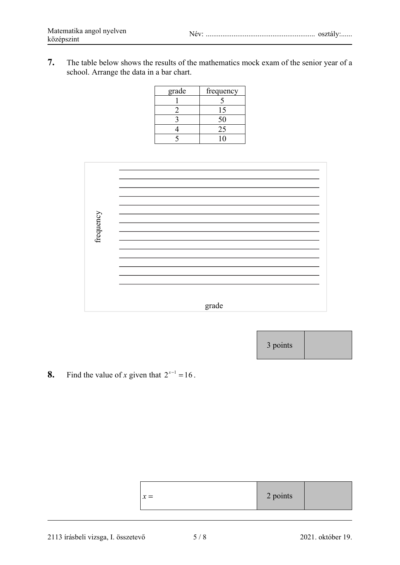**7.** The table below shows the results of the mathematics mock exam of the senior year of a school. Arrange the data in a bar chart.

| grade | frequency |
|-------|-----------|
|       |           |
|       | 15        |
|       | 50        |
|       | 25        |
|       |           |



3 points

**8.** Find the value of *x* given that  $2^{x-1} = 16$ .

| $x =$ | 2 points |  |
|-------|----------|--|
|-------|----------|--|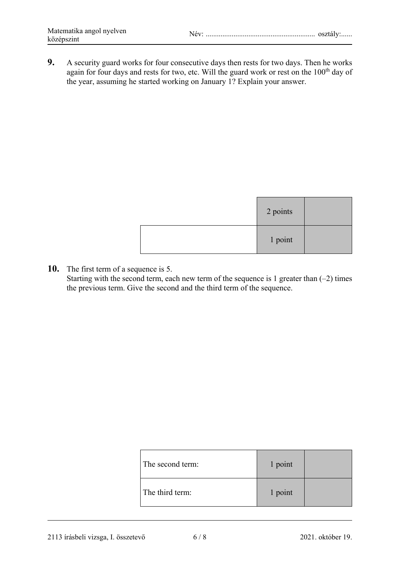**9.** A security guard works for four consecutive days then rests for two days. Then he works again for four days and rests for two, etc. Will the guard work or rest on the  $100<sup>th</sup>$  day of the year, assuming he started working on January 1? Explain your answer.

| 2 points |  |
|----------|--|
| 1 point  |  |

**10.** The first term of a sequence is 5.

Starting with the second term, each new term of the sequence is 1 greater than  $(-2)$  times the previous term. Give the second and the third term of the sequence.

| The second term: | 1 point |  |
|------------------|---------|--|
| The third term:  | 1 point |  |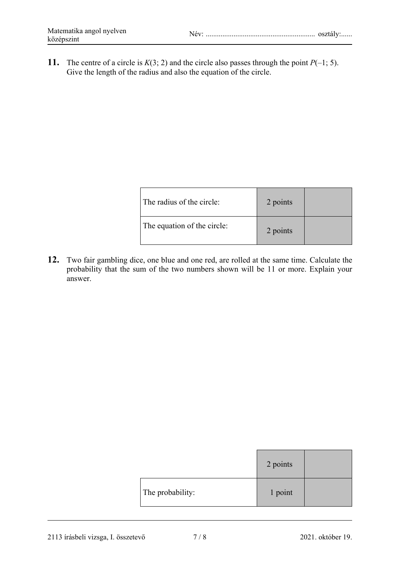**11.** The centre of a circle is  $K(3; 2)$  and the circle also passes through the point  $P(-1; 5)$ . Give the length of the radius and also the equation of the circle.

| The radius of the circle:   | 2 points |  |
|-----------------------------|----------|--|
| The equation of the circle: | 2 points |  |

**12.** Two fair gambling dice, one blue and one red, are rolled at the same time. Calculate the probability that the sum of the two numbers shown will be 11 or more. Explain your answer.

|                  | 2 points |  |
|------------------|----------|--|
| The probability: | 1 point  |  |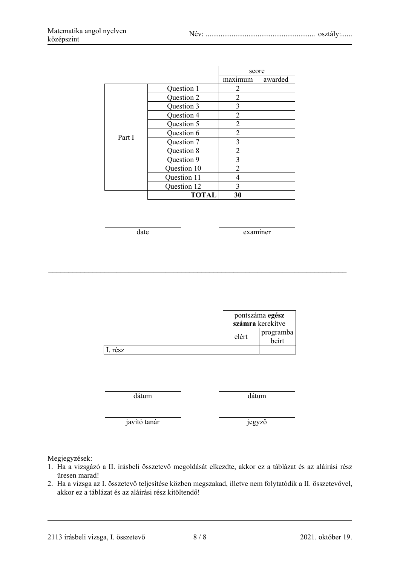|        |              | score          |         |
|--------|--------------|----------------|---------|
|        |              | maximum        | awarded |
|        | Question 1   | 2              |         |
|        | Question 2   | $\overline{2}$ |         |
|        | Question 3   | 3              |         |
|        | Question 4   | $\overline{2}$ |         |
|        | Question 5   | $\overline{2}$ |         |
| Part I | Question 6   | $\overline{2}$ |         |
|        | Question 7   | 3              |         |
|        | Question 8   | $\overline{2}$ |         |
|        | Question 9   | 3              |         |
|        | Question 10  | $\overline{2}$ |         |
|        | Question 11  | 4              |         |
|        | Question 12  | 3              |         |
|        | <b>TOTAL</b> | 30             |         |

date examiner

|      | pontszáma egész  |                    |  |
|------|------------------|--------------------|--|
|      | számra kerekítve |                    |  |
|      | elért            | programba<br>beirt |  |
| rész |                  |                    |  |

dátum dátum dátum **dátum** 

javító tanár jegyző

Megjegyzések:

- 1. Ha a vizsgázó a II. írásbeli összetevő megoldását elkezdte, akkor ez a táblázat és az aláírási rész üresen marad!
- 2. Ha a vizsga az I. összetevő teljesítése közben megszakad, illetve nem folytatódik a II. összetevővel, akkor ez a táblázat és az aláírási rész kitöltendő!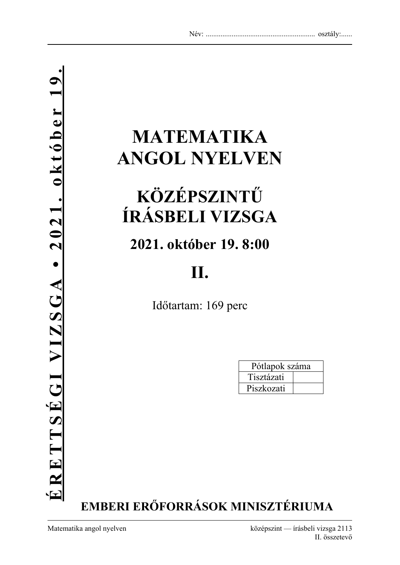# **MATEMATIKA ANGOL NYELVEN**

# **KÖZÉPSZINTŰ ÍRÁSBELI VIZSGA**

### **2021. október 19. 8:00**

## **II.**

Időtartam: 169 perc

| Pótlapok száma |  |  |  |  |  |  |  |
|----------------|--|--|--|--|--|--|--|
| Tisztázati     |  |  |  |  |  |  |  |
| Piszkozati     |  |  |  |  |  |  |  |

**EMBERI ERŐFORRÁSOK MINISZTÉRIUMA**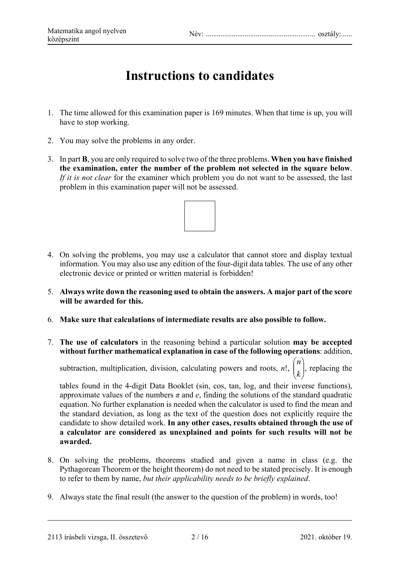### **Instructions to candidates**

- 1. The time allowed for this examination paper is 169 minutes. When that time is up, you will have to stop working.
- 2. You may solve the problems in any order.
- 3. In part **B**, you are only required to solve two of the three problems. **When you have finished the examination, enter the number of the problem not selected in the square below**. *If it is not clear* for the examiner which problem you do not want to be assessed, the last problem in this examination paper will not be assessed.



- 4. On solving the problems, you may use a calculator that cannot store and display textual information. You may also use any edition of the four-digit data tables. The use of any other electronic device or printed or written material is forbidden!
- 5. **Always write down the reasoning used to obtain the answers. A major part of the score will be awarded for this.**
- 6. **Make sure that calculations of intermediate results are also possible to follow.**
- 7. **The use of calculators** in the reasoning behind a particular solution **may be accepted without further mathematical explanation in case of the following operations**: addition,

subtraction, multiplication, division, calculating powers and roots,  $n!$ ,  $\begin{bmatrix} n \\ k \end{bmatrix}$  $\int$  $\setminus$  $\overline{\phantom{a}}$  $\setminus$ ſ *k n* , replacing the

tables found in the 4-digit Data Booklet (sin, cos, tan, log, and their inverse functions), approximate values of the numbers  $\pi$  and  $e$ , finding the solutions of the standard quadratic equation. No further explanation is needed when the calculator is used to find the mean and the standard deviation, as long as the text of the question does not explicitly require the candidate to show detailed work. **In any other cases, results obtained through the use of a calculator are considered as unexplained and points for such results will not be awarded.** 

- 8. On solving the problems, theorems studied and given a name in class (e.g. the Pythagorean Theorem or the height theorem) do not need to be stated precisely. It is enough to refer to them by name, *but their applicability needs to be briefly explained*.
- 9. Always state the final result (the answer to the question of the problem) in words, too!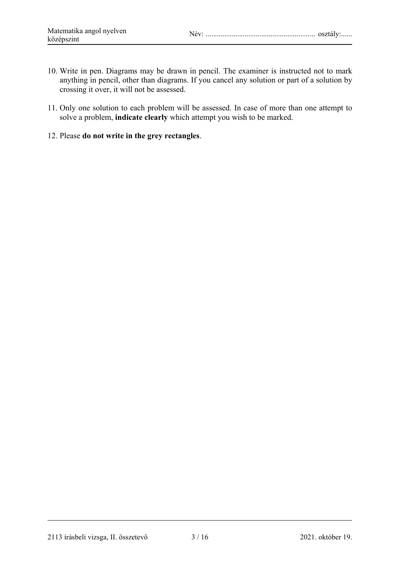- 10. Write in pen. Diagrams may be drawn in pencil. The examiner is instructed not to mark anything in pencil, other than diagrams. If you cancel any solution or part of a solution by crossing it over, it will not be assessed.
- 11. Only one solution to each problem will be assessed. In case of more than one attempt to solve a problem, **indicate clearly** which attempt you wish to be marked.
- 12. Please **do not write in the grey rectangles**.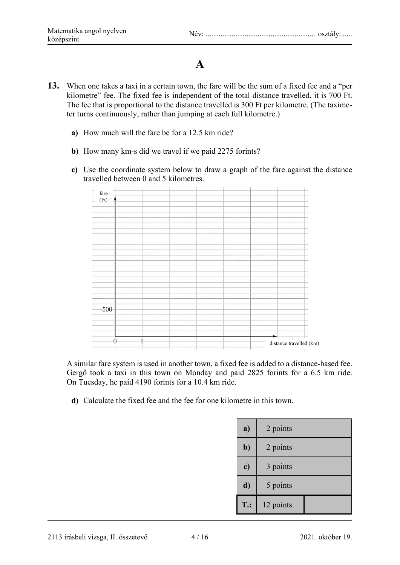### **A**

- **13.** When one takes a taxi in a certain town, the fare will be the sum of a fixed fee and a "per kilometre" fee. The fixed fee is independent of the total distance travelled, it is 700 Ft. The fee that is proportional to the distance travelled is 300 Ft per kilometre. (The taximeter turns continuously, rather than jumping at each full kilometre.)
	- **a)** How much will the fare be for a 12.5 km ride?
	- **b)** How many km-s did we travel if we paid 2275 forints?
	- **c)** Use the coordinate system below to draw a graph of the fare against the distance travelled between 0 and 5 kilometres.



A similar fare system is used in another town, a fixed fee is added to a distance-based fee. Gergő took a taxi in this town on Monday and paid 2825 forints for a 6.5 km ride. On Tuesday, he paid 4190 forints for a 10.4 km ride.

**d)** Calculate the fixed fee and the fee for one kilometre in this town.

| a)         | 2 points  |  |
|------------|-----------|--|
| $b$        | 2 points  |  |
| c)         | 3 points  |  |
| d)         | 5 points  |  |
| <b>T.:</b> | 12 points |  |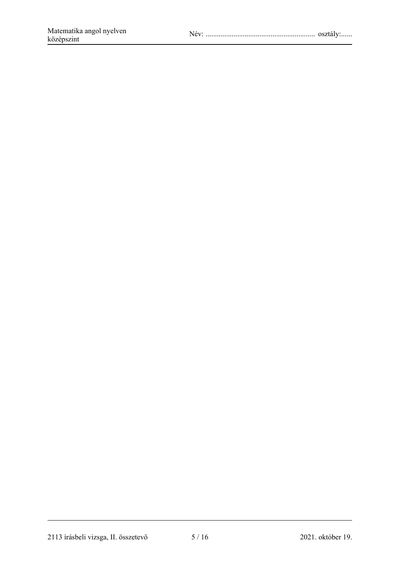2113 írásbeli vizsga, II. összetevő 5 / 16 2021. október 19.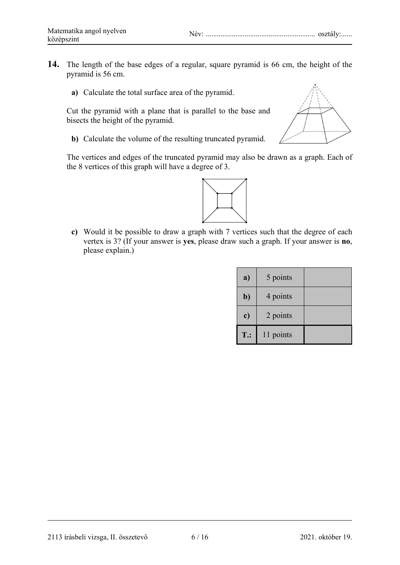- **14.** The length of the base edges of a regular, square pyramid is 66 cm, the height of the pyramid is 56 cm.
	- **a)** Calculate the total surface area of the pyramid.

Cut the pyramid with a plane that is parallel to the base and bisects the height of the pyramid.

**b)** Calculate the volume of the resulting truncated pyramid.

The vertices and edges of the truncated pyramid may also be drawn as a graph. Each of the 8 vertices of this graph will have a degree of 3.



**c)** Would it be possible to draw a graph with 7 vertices such that the degree of each vertex is 3? (If your answer is **yes**, please draw such a graph. If your answer is **no**, please explain.)

| a)     | 5 points  |  |
|--------|-----------|--|
| b)     | 4 points  |  |
| c)     | 2 points  |  |
| $T$ .: | 11 points |  |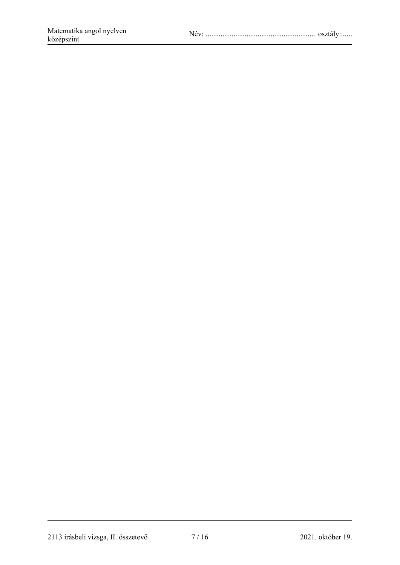2113 írásbeli vizsga, II. összetevő 7 / 16 2021. október 19.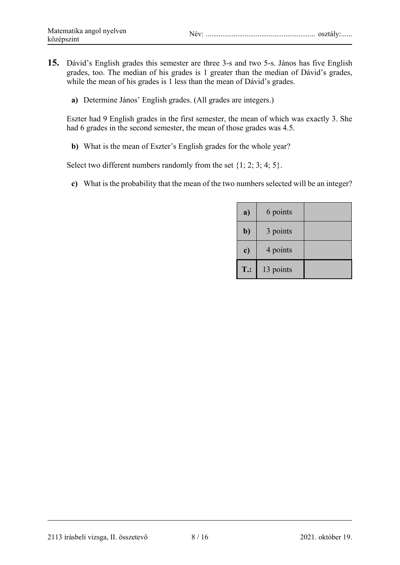- **15.** Dávid's English grades this semester are three 3-s and two 5-s. János has five English grades, too. The median of his grades is 1 greater than the median of Dávid's grades, while the mean of his grades is 1 less than the mean of Dávid's grades.
	- **a)** Determine János' English grades. (All grades are integers.)

Eszter had 9 English grades in the first semester, the mean of which was exactly 3. She had 6 grades in the second semester, the mean of those grades was 4.5.

**b)** What is the mean of Eszter's English grades for the whole year?

Select two different numbers randomly from the set  $\{1, 2, 3, 4, 5\}$ .

**c)** What is the probability that the mean of the two numbers selected will be an integer?

| a)         | 6 points  |  |
|------------|-----------|--|
| $b$        | 3 points  |  |
| c)         | 4 points  |  |
| <b>T.:</b> | 13 points |  |

<sup>2113</sup> írásbeli vizsga, II. összetevő 8 / 16 2021. október 19.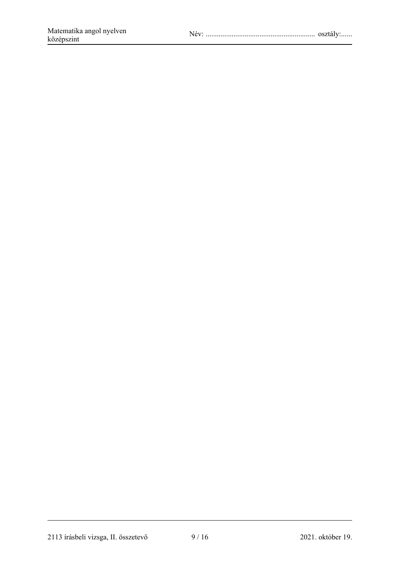2113 írásbeli vizsga, II. összetevő 9 / 16 2021. október 19.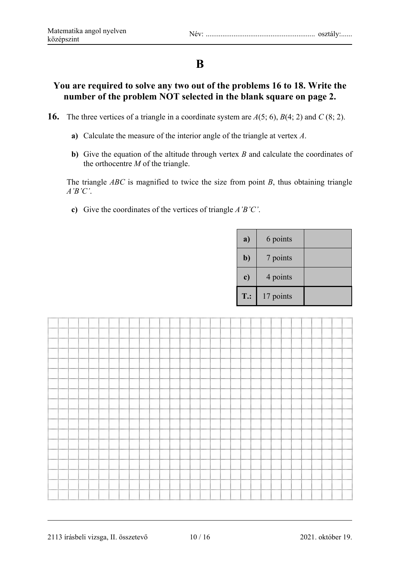### **B**

#### **You are required to solve any two out of the problems 16 to 18. Write the number of the problem NOT selected in the blank square on page 2.**

- **16.** The three vertices of a triangle in a coordinate system are  $A(5, 6)$ ,  $B(4, 2)$  and  $C(8, 2)$ .
	- **a)** Calculate the measure of the interior angle of the triangle at vertex *A*.
	- **b**) Give the equation of the altitude through vertex *B* and calculate the coordinates of the orthocentre *M* of the triangle.

The triangle *ABC* is magnified to twice the size from point *B*, thus obtaining triangle *A'B'C'*.

**c)** Give the coordinates of the vertices of triangle *A'B'C'*.

| a)     | 6 points  |  |
|--------|-----------|--|
| b)     | 7 points  |  |
| c)     | 4 points  |  |
| $T$ .: | 17 points |  |

|  |  |  |  |  |  |  | <br> |  |  |  |  |  |  |  |
|--|--|--|--|--|--|--|------|--|--|--|--|--|--|--|
|  |  |  |  |  |  |  |      |  |  |  |  |  |  |  |
|  |  |  |  |  |  |  | <br> |  |  |  |  |  |  |  |
|  |  |  |  |  |  |  |      |  |  |  |  |  |  |  |
|  |  |  |  |  |  |  |      |  |  |  |  |  |  |  |
|  |  |  |  |  |  |  |      |  |  |  |  |  |  |  |
|  |  |  |  |  |  |  |      |  |  |  |  |  |  |  |
|  |  |  |  |  |  |  |      |  |  |  |  |  |  |  |
|  |  |  |  |  |  |  |      |  |  |  |  |  |  |  |
|  |  |  |  |  |  |  |      |  |  |  |  |  |  |  |
|  |  |  |  |  |  |  |      |  |  |  |  |  |  |  |
|  |  |  |  |  |  |  |      |  |  |  |  |  |  |  |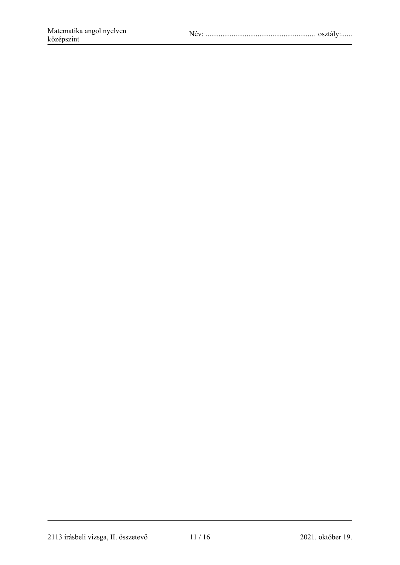2113 írásbeli vizsga, II. összetevő 11 / 16 2021. október 19.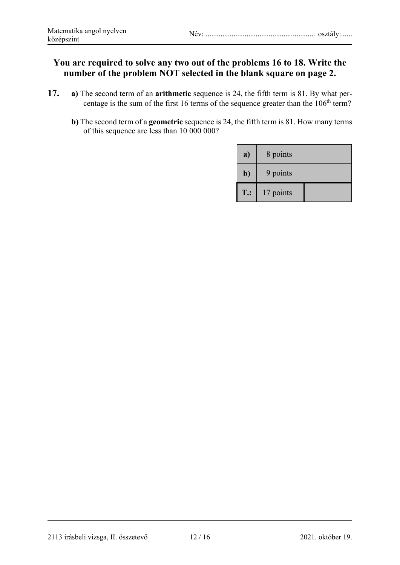#### **You are required to solve any two out of the problems 16 to 18. Write the number of the problem NOT selected in the blank square on page 2.**

- **17. a)** The second term of an **arithmetic** sequence is 24, the fifth term is 81. By what percentage is the sum of the first 16 terms of the sequence greater than the 106<sup>th</sup> term?
	- **b)** The second term of a **geometric** sequence is 24, the fifth term is 81. How many terms of this sequence are less than 10 000 000?

| a)           | 8 points  |  |
|--------------|-----------|--|
| $\mathbf{b}$ | 9 points  |  |
| $T$ .:       | 17 points |  |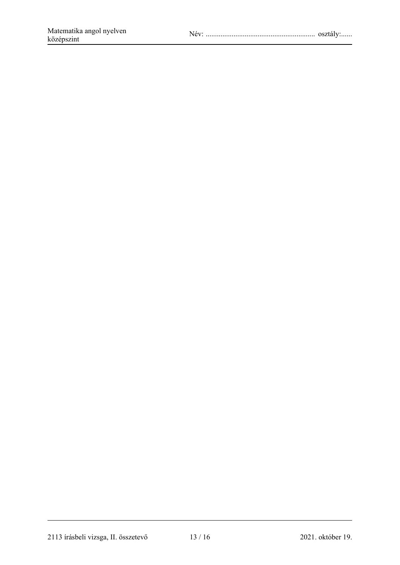2113 írásbeli vizsga, II. összetevő 13 / 16 2021. október 19.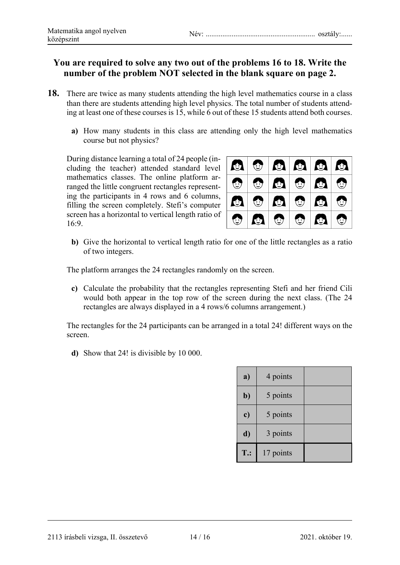#### **You are required to solve any two out of the problems 16 to 18. Write the number of the problem NOT selected in the blank square on page 2.**

- **18.** There are twice as many students attending the high level mathematics course in a class than there are students attending high level physics. The total number of students attending at least one of these courses is 15, while 6 out of these 15 students attend both courses.
	- **a)** How many students in this class are attending only the high level mathematics course but not physics?

During distance learning a total of 24 people (including the teacher) attended standard level mathematics classes. The online platform arranged the little congruent rectangles representing the participants in 4 rows and 6 columns, filling the screen completely. Stefi's computer screen has a horizontal to vertical length ratio of 16:9.

|  |  | $\textcircled{\circ} \textcircled{\circ} \textcircled{\circ} \textcircled{\circ}$ |
|--|--|-----------------------------------------------------------------------------------|

**b)** Give the horizontal to vertical length ratio for one of the little rectangles as a ratio of two integers.

The platform arranges the 24 rectangles randomly on the screen.

**c)** Calculate the probability that the rectangles representing Stefi and her friend Cili would both appear in the top row of the screen during the next class. (The 24 rectangles are always displayed in a 4 rows/6 columns arrangement.)

The rectangles for the 24 participants can be arranged in a total 24! different ways on the screen.

**d)** Show that 24! is divisible by 10 000.

| a)         | 4 points  |  |
|------------|-----------|--|
| b)         | 5 points  |  |
| c)         | 5 points  |  |
| d)         | 3 points  |  |
| <b>T.:</b> | 17 points |  |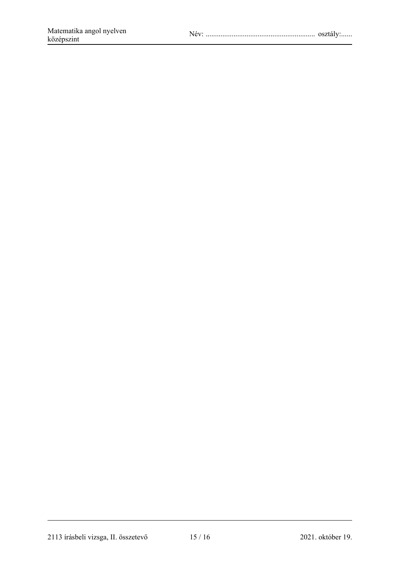2113 írásbeli vizsga, II. összetevő 15 / 16 2021. október 19.